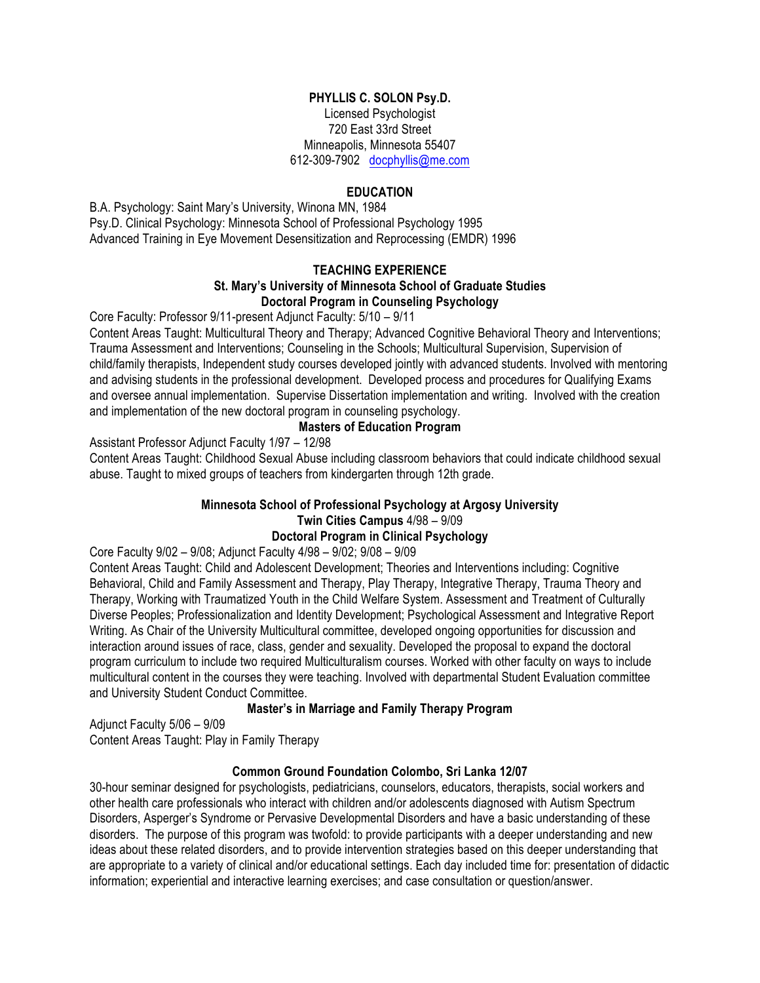## **PHYLLIS C. SOLON Psy.D.**

Licensed Psychologist 720 East 33rd Street Minneapolis, Minnesota 55407 612-309-7902 docphyllis@me.com

## **EDUCATION**

B.A. Psychology: Saint Mary's University, Winona MN, 1984 Psy.D. Clinical Psychology: Minnesota School of Professional Psychology 1995 Advanced Training in Eye Movement Desensitization and Reprocessing (EMDR) 1996

#### **TEACHING EXPERIENCE St. Mary's University of Minnesota School of Graduate Studies Doctoral Program in Counseling Psychology**

Core Faculty: Professor 9/11-present Adjunct Faculty: 5/10 – 9/11

Content Areas Taught: Multicultural Theory and Therapy; Advanced Cognitive Behavioral Theory and Interventions; Trauma Assessment and Interventions; Counseling in the Schools; Multicultural Supervision, Supervision of child/family therapists, Independent study courses developed jointly with advanced students. Involved with mentoring and advising students in the professional development. Developed process and procedures for Qualifying Exams and oversee annual implementation. Supervise Dissertation implementation and writing. Involved with the creation and implementation of the new doctoral program in counseling psychology.

#### **Masters of Education Program**

Assistant Professor Adjunct Faculty 1/97 – 12/98

Content Areas Taught: Childhood Sexual Abuse including classroom behaviors that could indicate childhood sexual abuse. Taught to mixed groups of teachers from kindergarten through 12th grade.

# **Minnesota School of Professional Psychology at Argosy University Twin Cities Campus** 4/98 – 9/09

# **Doctoral Program in Clinical Psychology**

Core Faculty 9/02 – 9/08; Adjunct Faculty 4/98 – 9/02; 9/08 – 9/09

Content Areas Taught: Child and Adolescent Development; Theories and Interventions including: Cognitive Behavioral, Child and Family Assessment and Therapy, Play Therapy, Integrative Therapy, Trauma Theory and Therapy, Working with Traumatized Youth in the Child Welfare System. Assessment and Treatment of Culturally Diverse Peoples; Professionalization and Identity Development; Psychological Assessment and Integrative Report Writing. As Chair of the University Multicultural committee, developed ongoing opportunities for discussion and interaction around issues of race, class, gender and sexuality. Developed the proposal to expand the doctoral program curriculum to include two required Multiculturalism courses. Worked with other faculty on ways to include multicultural content in the courses they were teaching. Involved with departmental Student Evaluation committee and University Student Conduct Committee.

#### **Master's in Marriage and Family Therapy Program**

Adjunct Faculty 5/06 – 9/09

Content Areas Taught: Play in Family Therapy

#### **Common Ground Foundation Colombo, Sri Lanka 12/07**

30-hour seminar designed for psychologists, pediatricians, counselors, educators, therapists, social workers and other health care professionals who interact with children and/or adolescents diagnosed with Autism Spectrum Disorders, Asperger's Syndrome or Pervasive Developmental Disorders and have a basic understanding of these disorders. The purpose of this program was twofold: to provide participants with a deeper understanding and new ideas about these related disorders, and to provide intervention strategies based on this deeper understanding that are appropriate to a variety of clinical and/or educational settings. Each day included time for: presentation of didactic information; experiential and interactive learning exercises; and case consultation or question/answer.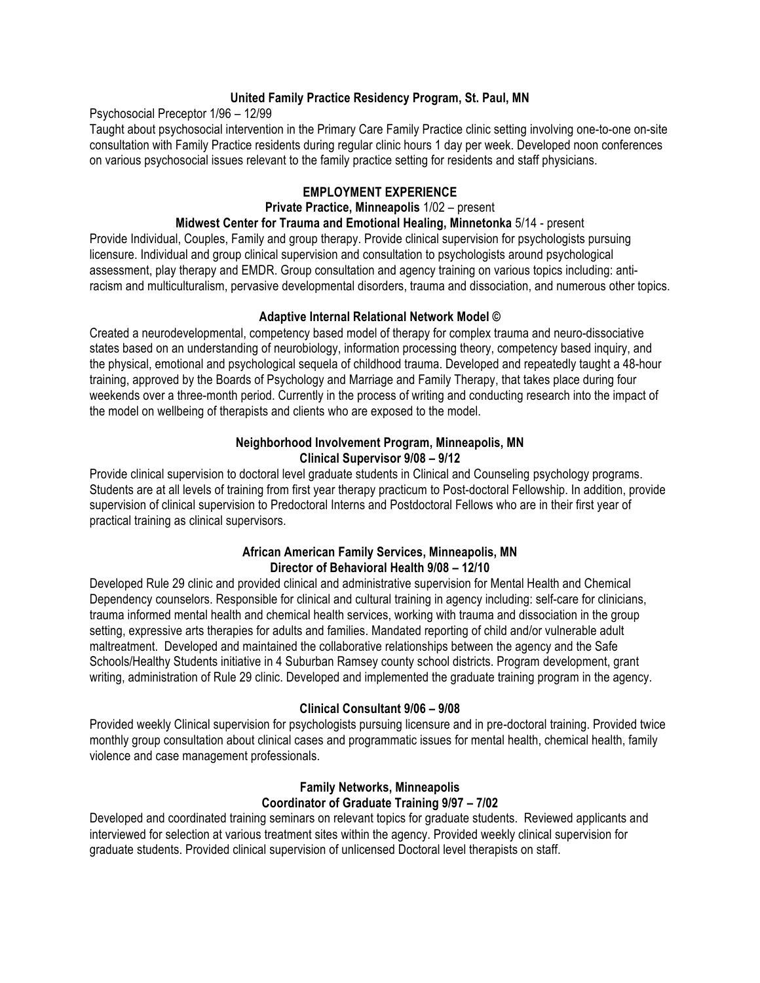## **United Family Practice Residency Program, St. Paul, MN**

Psychosocial Preceptor 1/96 – 12/99

Taught about psychosocial intervention in the Primary Care Family Practice clinic setting involving one-to-one on-site consultation with Family Practice residents during regular clinic hours 1 day per week. Developed noon conferences on various psychosocial issues relevant to the family practice setting for residents and staff physicians.

## **EMPLOYMENT EXPERIENCE**

## **Private Practice, Minneapolis** 1/02 – present

# **Midwest Center for Trauma and Emotional Healing, Minnetonka** 5/14 - present

Provide Individual, Couples, Family and group therapy. Provide clinical supervision for psychologists pursuing licensure. Individual and group clinical supervision and consultation to psychologists around psychological assessment, play therapy and EMDR. Group consultation and agency training on various topics including: antiracism and multiculturalism, pervasive developmental disorders, trauma and dissociation, and numerous other topics.

## **Adaptive Internal Relational Network Model ©**

Created a neurodevelopmental, competency based model of therapy for complex trauma and neuro-dissociative states based on an understanding of neurobiology, information processing theory, competency based inquiry, and the physical, emotional and psychological sequela of childhood trauma. Developed and repeatedly taught a 48-hour training, approved by the Boards of Psychology and Marriage and Family Therapy, that takes place during four weekends over a three-month period. Currently in the process of writing and conducting research into the impact of the model on wellbeing of therapists and clients who are exposed to the model.

## **Neighborhood Involvement Program, Minneapolis, MN Clinical Supervisor 9/08 – 9/12**

Provide clinical supervision to doctoral level graduate students in Clinical and Counseling psychology programs. Students are at all levels of training from first year therapy practicum to Post-doctoral Fellowship. In addition, provide supervision of clinical supervision to Predoctoral Interns and Postdoctoral Fellows who are in their first year of practical training as clinical supervisors.

## **African American Family Services, Minneapolis, MN Director of Behavioral Health 9/08 – 12/10**

Developed Rule 29 clinic and provided clinical and administrative supervision for Mental Health and Chemical Dependency counselors. Responsible for clinical and cultural training in agency including: self-care for clinicians, trauma informed mental health and chemical health services, working with trauma and dissociation in the group setting, expressive arts therapies for adults and families. Mandated reporting of child and/or vulnerable adult maltreatment. Developed and maintained the collaborative relationships between the agency and the Safe Schools/Healthy Students initiative in 4 Suburban Ramsey county school districts. Program development, grant writing, administration of Rule 29 clinic. Developed and implemented the graduate training program in the agency.

# **Clinical Consultant 9/06 – 9/08**

Provided weekly Clinical supervision for psychologists pursuing licensure and in pre-doctoral training. Provided twice monthly group consultation about clinical cases and programmatic issues for mental health, chemical health, family violence and case management professionals.

# **Family Networks, Minneapolis Coordinator of Graduate Training 9/97 – 7/02**

Developed and coordinated training seminars on relevant topics for graduate students. Reviewed applicants and interviewed for selection at various treatment sites within the agency. Provided weekly clinical supervision for graduate students. Provided clinical supervision of unlicensed Doctoral level therapists on staff.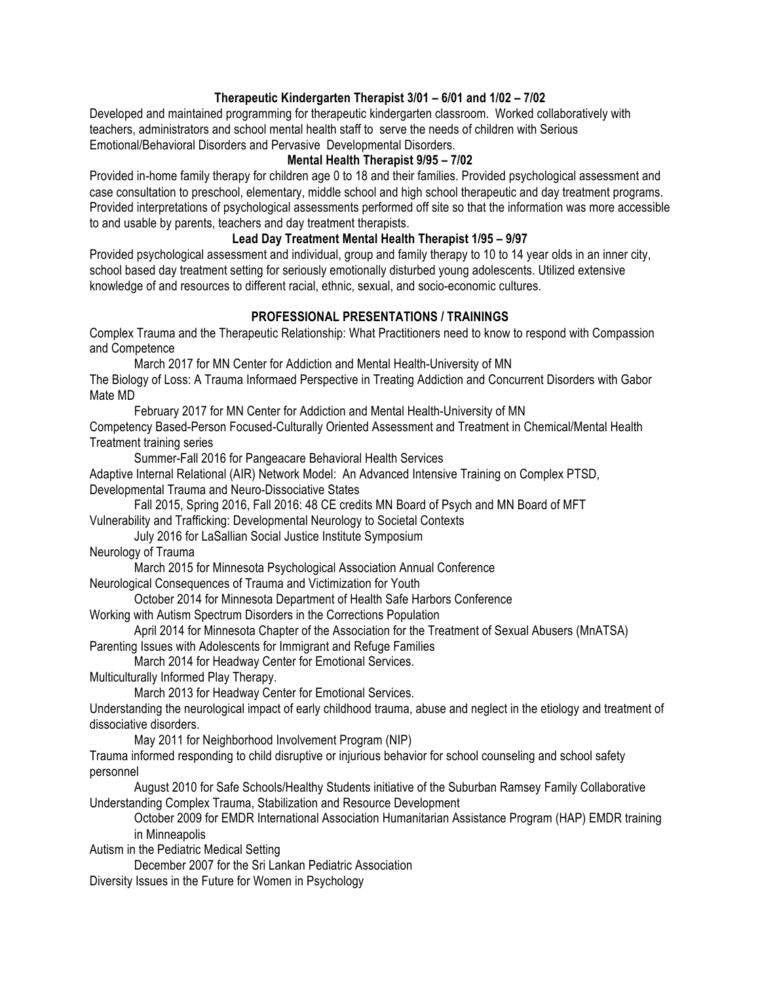## **Therapeutic Kindergarten Therapist 3/01 – 6/01 and 1/02 – 7/02**

Developed and maintained programming for therapeutic kindergarten classroom. Worked collaboratively with teachers, administrators and school mental health staff to serve the needs of children with Serious Emotional/Behavioral Disorders and Pervasive Developmental Disorders.

#### **Mental Health Therapist 9/95 – 7/02**

Provided in-home family therapy for children age 0 to 18 and their families. Provided psychological assessment and case consultation to preschool, elementary, middle school and high school therapeutic and day treatment programs. Provided interpretations of psychological assessments performed off site so that the information was more accessible to and usable by parents, teachers and day treatment therapists.

## **Lead Day Treatment Mental Health Therapist 1/95 – 9/97**

Provided psychological assessment and individual, group and family therapy to 10 to 14 year olds in an inner city, school based day treatment setting for seriously emotionally disturbed young adolescents. Utilized extensive knowledge of and resources to different racial, ethnic, sexual, and socio-economic cultures.

## **PROFESSIONAL PRESENTATIONS / TRAININGS**

Complex Trauma and the Therapeutic Relationship: What Practitioners need to know to respond with Compassion and Competence

March 2017 for MN Center for Addiction and Mental Health-University of MN The Biology of Loss: A Trauma Informaed Perspective in Treating Addiction and Concurrent Disorders with Gabor

Mate MD

February 2017 for MN Center for Addiction and Mental Health-University of MN

Competency Based-Person Focused-Culturally Oriented Assessment and Treatment in Chemical/Mental Health Treatment training series

Summer-Fall 2016 for Pangeacare Behavioral Health Services

Adaptive Internal Relational (AIR) Network Model: An Advanced Intensive Training on Complex PTSD, Developmental Trauma and Neuro-Dissociative States

Fall 2015, Spring 2016, Fall 2016: 48 CE credits MN Board of Psych and MN Board of MFT

Vulnerability and Trafficking: Developmental Neurology to Societal Contexts

July 2016 for LaSallian Social Justice Institute Symposium

Neurology of Trauma

March 2015 for Minnesota Psychological Association Annual Conference

Neurological Consequences of Trauma and Victimization for Youth

October 2014 for Minnesota Department of Health Safe Harbors Conference

Working with Autism Spectrum Disorders in the Corrections Population

April 2014 for Minnesota Chapter of the Association for the Treatment of Sexual Abusers (MnATSA)

Parenting Issues with Adolescents for Immigrant and Refuge Families

March 2014 for Headway Center for Emotional Services.

Multiculturally Informed Play Therapy.

March 2013 for Headway Center for Emotional Services.

Understanding the neurological impact of early childhood trauma, abuse and neglect in the etiology and treatment of dissociative disorders.

May 2011 for Neighborhood Involvement Program (NIP)

Trauma informed responding to child disruptive or injurious behavior for school counseling and school safety personnel

August 2010 for Safe Schools/Healthy Students initiative of the Suburban Ramsey Family Collaborative Understanding Complex Trauma, Stabilization and Resource Development

October 2009 for EMDR International Association Humanitarian Assistance Program (HAP) EMDR training in Minneapolis

Autism in the Pediatric Medical Setting

December 2007 for the Sri Lankan Pediatric Association

Diversity Issues in the Future for Women in Psychology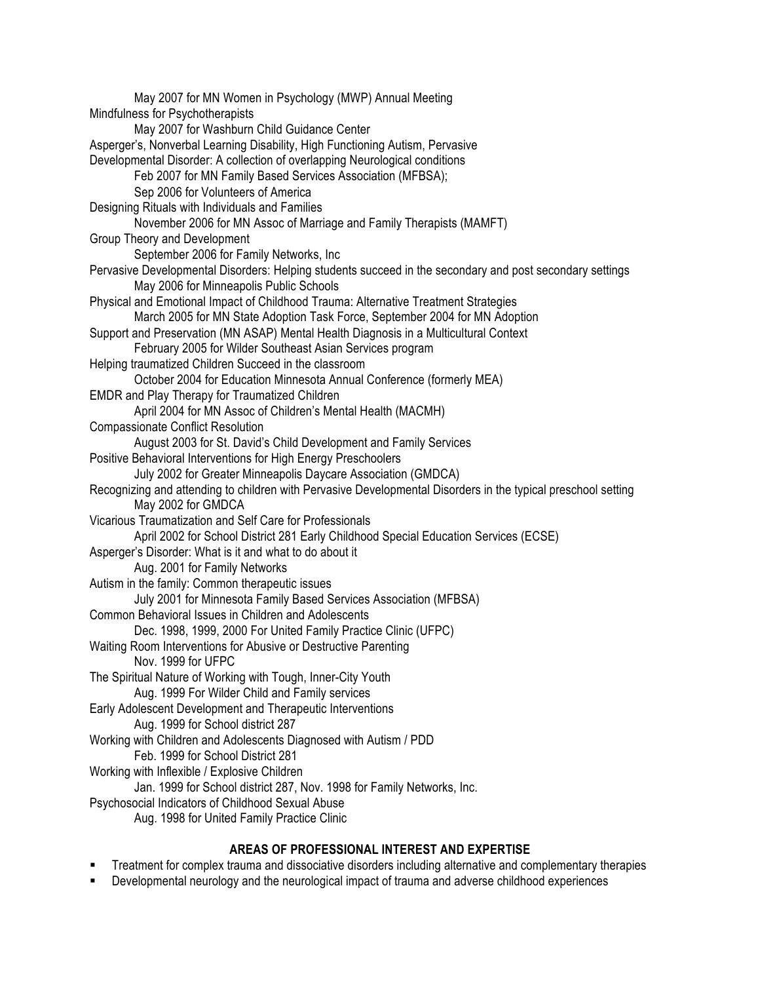May 2007 for MN Women in Psychology (MWP) Annual Meeting Mindfulness for Psychotherapists May 2007 for Washburn Child Guidance Center Asperger's, Nonverbal Learning Disability, High Functioning Autism, Pervasive Developmental Disorder: A collection of overlapping Neurological conditions Feb 2007 for MN Family Based Services Association (MFBSA); Sep 2006 for Volunteers of America Designing Rituals with Individuals and Families November 2006 for MN Assoc of Marriage and Family Therapists (MAMFT) Group Theory and Development September 2006 for Family Networks, Inc Pervasive Developmental Disorders: Helping students succeed in the secondary and post secondary settings May 2006 for Minneapolis Public Schools Physical and Emotional Impact of Childhood Trauma: Alternative Treatment Strategies March 2005 for MN State Adoption Task Force, September 2004 for MN Adoption Support and Preservation (MN ASAP) Mental Health Diagnosis in a Multicultural Context February 2005 for Wilder Southeast Asian Services program Helping traumatized Children Succeed in the classroom October 2004 for Education Minnesota Annual Conference (formerly MEA) EMDR and Play Therapy for Traumatized Children April 2004 for MN Assoc of Children's Mental Health (MACMH) Compassionate Conflict Resolution August 2003 for St. David's Child Development and Family Services Positive Behavioral Interventions for High Energy Preschoolers July 2002 for Greater Minneapolis Daycare Association (GMDCA) Recognizing and attending to children with Pervasive Developmental Disorders in the typical preschool setting May 2002 for GMDCA Vicarious Traumatization and Self Care for Professionals April 2002 for School District 281 Early Childhood Special Education Services (ECSE) Asperger's Disorder: What is it and what to do about it Aug. 2001 for Family Networks Autism in the family: Common therapeutic issues July 2001 for Minnesota Family Based Services Association (MFBSA) Common Behavioral Issues in Children and Adolescents Dec. 1998, 1999, 2000 For United Family Practice Clinic (UFPC) Waiting Room Interventions for Abusive or Destructive Parenting Nov. 1999 for UFPC The Spiritual Nature of Working with Tough, Inner-City Youth Aug. 1999 For Wilder Child and Family services Early Adolescent Development and Therapeutic Interventions Aug. 1999 for School district 287 Working with Children and Adolescents Diagnosed with Autism / PDD Feb. 1999 for School District 281 Working with Inflexible / Explosive Children Jan. 1999 for School district 287, Nov. 1998 for Family Networks, Inc. Psychosocial Indicators of Childhood Sexual Abuse Aug. 1998 for United Family Practice Clinic

# **AREAS OF PROFESSIONAL INTEREST AND EXPERTISE**

- Treatment for complex trauma and dissociative disorders including alternative and complementary therapies
- Developmental neurology and the neurological impact of trauma and adverse childhood experiences